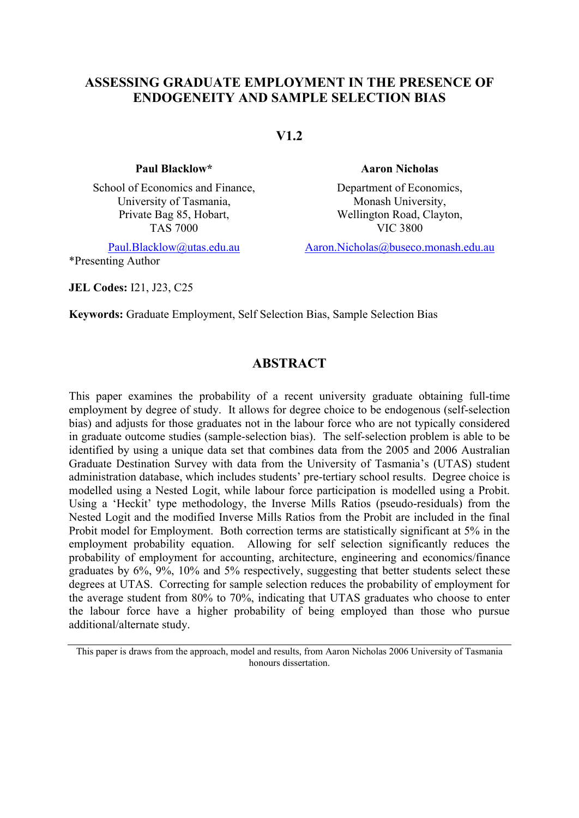## **ASSESSING GRADUATE EMPLOYMENT IN THE PRESENCE OF ENDOGENEITY AND SAMPLE SELECTION BIAS**

**V1.2**

#### **Paul Blacklow\* Aaron Nicholas**

School of Economics and Finance, University of Tasmania, Private Bag 85, Hobart, TAS 7000

\*Presenting Author

**JEL Codes:** I21, J23, C25

Department of Economics, Monash University, Wellington Road, Clayton, VIC 3800

Paul.Blacklow@utas.edu.au Aaron.Nicholas@buseco.monash.edu.au

**Keywords:** Graduate Employment, Self Selection Bias, Sample Selection Bias

# **ABSTRACT**

This paper examines the probability of a recent university graduate obtaining full-time employment by degree of study. It allows for degree choice to be endogenous (self-selection bias) and adjusts for those graduates not in the labour force who are not typically considered in graduate outcome studies (sample-selection bias). The self-selection problem is able to be identified by using a unique data set that combines data from the 2005 and 2006 Australian Graduate Destination Survey with data from the University of Tasmania's (UTAS) student administration database, which includes students' pre-tertiary school results. Degree choice is modelled using a Nested Logit, while labour force participation is modelled using a Probit. Using a 'Heckit' type methodology, the Inverse Mills Ratios (pseudo-residuals) from the Nested Logit and the modified Inverse Mills Ratios from the Probit are included in the final Probit model for Employment. Both correction terms are statistically significant at 5% in the employment probability equation. Allowing for self selection significantly reduces the probability of employment for accounting, architecture, engineering and economics/finance graduates by 6%, 9%, 10% and 5% respectively, suggesting that better students select these degrees at UTAS. Correcting for sample selection reduces the probability of employment for the average student from 80% to 70%, indicating that UTAS graduates who choose to enter the labour force have a higher probability of being employed than those who pursue additional/alternate study.

This paper is draws from the approach, model and results, from Aaron Nicholas 2006 University of Tasmania honours dissertation.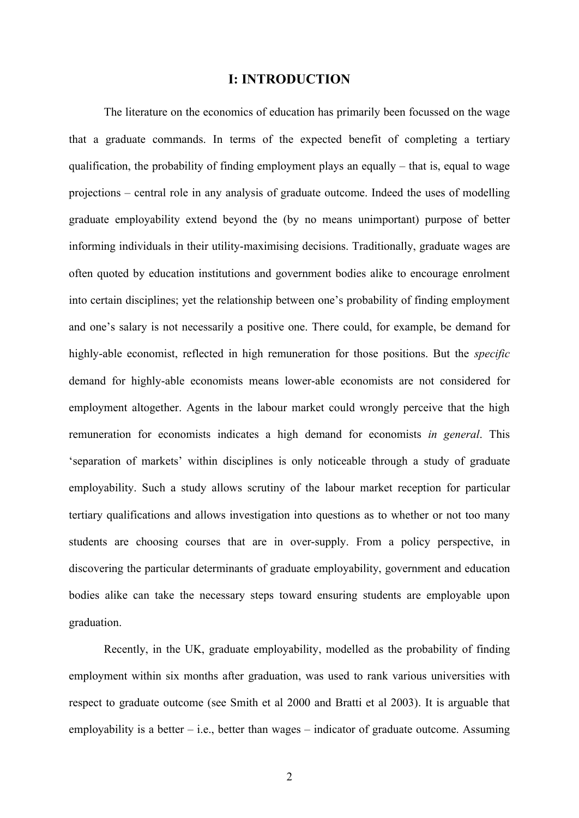## **I: INTRODUCTION**

The literature on the economics of education has primarily been focussed on the wage that a graduate commands. In terms of the expected benefit of completing a tertiary qualification, the probability of finding employment plays an equally  $-$  that is, equal to wage projections – central role in any analysis of graduate outcome. Indeed the uses of modelling graduate employability extend beyond the (by no means unimportant) purpose of better informing individuals in their utility-maximising decisions. Traditionally, graduate wages are often quoted by education institutions and government bodies alike to encourage enrolment into certain disciplines; yet the relationship between one's probability of finding employment and one's salary is not necessarily a positive one. There could, for example, be demand for highly-able economist, reflected in high remuneration for those positions. But the *specific* demand for highly-able economists means lower-able economists are not considered for employment altogether. Agents in the labour market could wrongly perceive that the high remuneration for economists indicates a high demand for economists *in general*. This 'separation of markets' within disciplines is only noticeable through a study of graduate employability. Such a study allows scrutiny of the labour market reception for particular tertiary qualifications and allows investigation into questions as to whether or not too many students are choosing courses that are in over-supply. From a policy perspective, in discovering the particular determinants of graduate employability, government and education bodies alike can take the necessary steps toward ensuring students are employable upon graduation.

Recently, in the UK, graduate employability, modelled as the probability of finding employment within six months after graduation, was used to rank various universities with respect to graduate outcome (see Smith et al 2000 and Bratti et al 2003). It is arguable that employability is a better  $-$  i.e., better than wages  $-$  indicator of graduate outcome. Assuming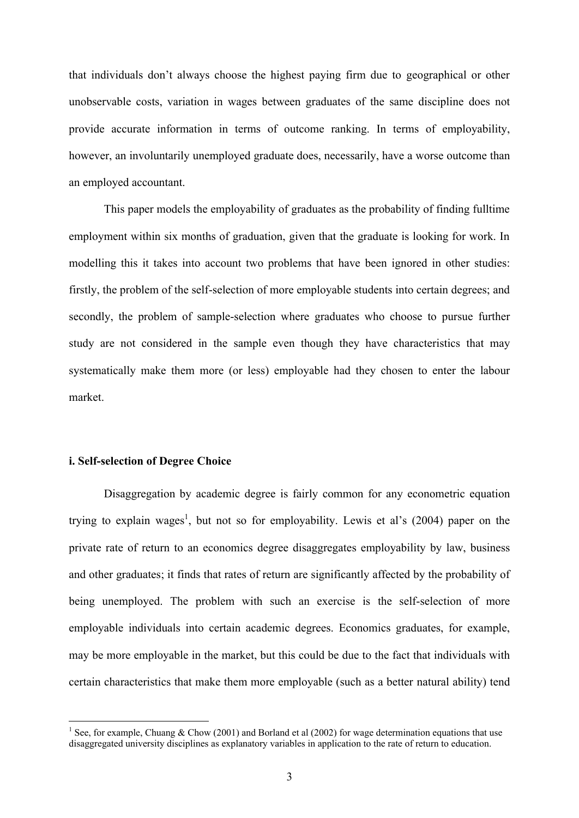that individuals don't always choose the highest paying firm due to geographical or other unobservable costs, variation in wages between graduates of the same discipline does not provide accurate information in terms of outcome ranking. In terms of employability, however, an involuntarily unemployed graduate does, necessarily, have a worse outcome than an employed accountant.

This paper models the employability of graduates as the probability of finding fulltime employment within six months of graduation, given that the graduate is looking for work. In modelling this it takes into account two problems that have been ignored in other studies: firstly, the problem of the self-selection of more employable students into certain degrees; and secondly, the problem of sample-selection where graduates who choose to pursue further study are not considered in the sample even though they have characteristics that may systematically make them more (or less) employable had they chosen to enter the labour market.

#### **i. Self-selection of Degree Choice**

 $\overline{a}$ 

Disaggregation by academic degree is fairly common for any econometric equation trying to explain wages<sup>1</sup>, but not so for employability. Lewis et al's (2004) paper on the private rate of return to an economics degree disaggregates employability by law, business and other graduates; it finds that rates of return are significantly affected by the probability of being unemployed. The problem with such an exercise is the self-selection of more employable individuals into certain academic degrees. Economics graduates, for example, may be more employable in the market, but this could be due to the fact that individuals with certain characteristics that make them more employable (such as a better natural ability) tend

<sup>&</sup>lt;sup>1</sup> See, for example, Chuang & Chow (2001) and Borland et al (2002) for wage determination equations that use disaggregated university disciplines as explanatory variables in application to the rate of return to education.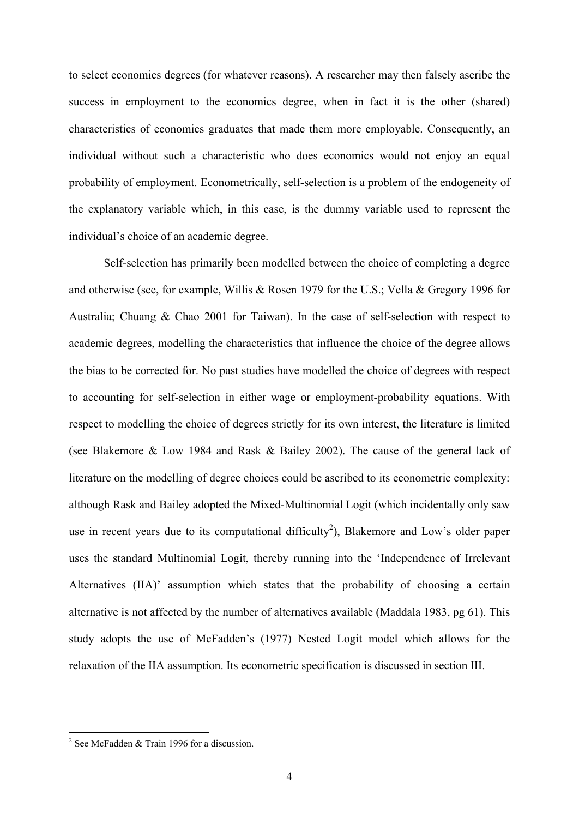to select economics degrees (for whatever reasons). A researcher may then falsely ascribe the success in employment to the economics degree, when in fact it is the other (shared) characteristics of economics graduates that made them more employable. Consequently, an individual without such a characteristic who does economics would not enjoy an equal probability of employment. Econometrically, self-selection is a problem of the endogeneity of the explanatory variable which, in this case, is the dummy variable used to represent the individual's choice of an academic degree.

Self-selection has primarily been modelled between the choice of completing a degree and otherwise (see, for example, Willis & Rosen 1979 for the U.S.; Vella & Gregory 1996 for Australia; Chuang & Chao 2001 for Taiwan). In the case of self-selection with respect to academic degrees, modelling the characteristics that influence the choice of the degree allows the bias to be corrected for. No past studies have modelled the choice of degrees with respect to accounting for self-selection in either wage or employment-probability equations. With respect to modelling the choice of degrees strictly for its own interest, the literature is limited (see Blakemore & Low 1984 and Rask & Bailey 2002). The cause of the general lack of literature on the modelling of degree choices could be ascribed to its econometric complexity: although Rask and Bailey adopted the Mixed-Multinomial Logit (which incidentally only saw use in recent years due to its computational difficulty<sup>2</sup>), Blakemore and Low's older paper uses the standard Multinomial Logit, thereby running into the 'Independence of Irrelevant Alternatives (IIA)' assumption which states that the probability of choosing a certain alternative is not affected by the number of alternatives available (Maddala 1983, pg 61). This study adopts the use of McFadden's (1977) Nested Logit model which allows for the relaxation of the IIA assumption. Its econometric specification is discussed in section III.

<sup>&</sup>lt;sup>2</sup> See McFadden & Train 1996 for a discussion.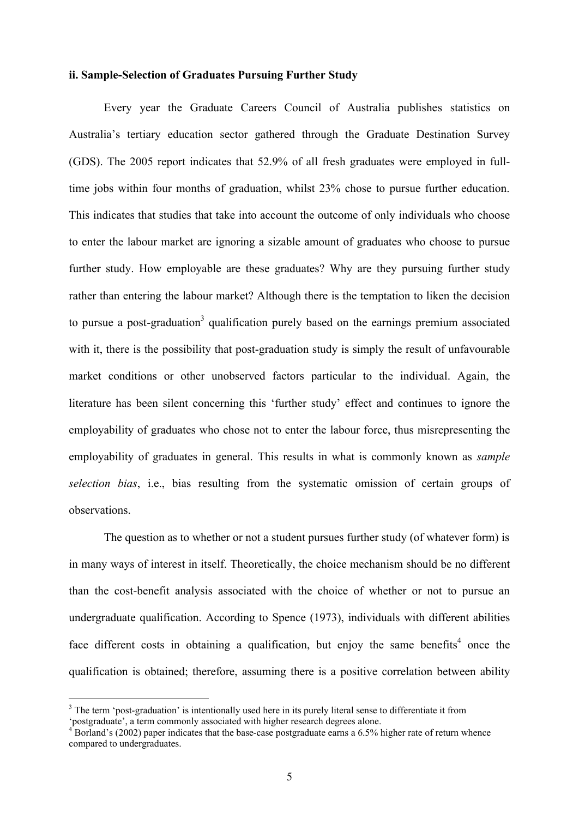### **ii. Sample-Selection of Graduates Pursuing Further Study**

Every year the Graduate Careers Council of Australia publishes statistics on Australia's tertiary education sector gathered through the Graduate Destination Survey (GDS). The 2005 report indicates that 52.9% of all fresh graduates were employed in fulltime jobs within four months of graduation, whilst 23% chose to pursue further education. This indicates that studies that take into account the outcome of only individuals who choose to enter the labour market are ignoring a sizable amount of graduates who choose to pursue further study. How employable are these graduates? Why are they pursuing further study rather than entering the labour market? Although there is the temptation to liken the decision to pursue a post-graduation<sup>3</sup> qualification purely based on the earnings premium associated with it, there is the possibility that post-graduation study is simply the result of unfavourable market conditions or other unobserved factors particular to the individual. Again, the literature has been silent concerning this 'further study' effect and continues to ignore the employability of graduates who chose not to enter the labour force, thus misrepresenting the employability of graduates in general. This results in what is commonly known as *sample selection bias*, i.e., bias resulting from the systematic omission of certain groups of observations.

The question as to whether or not a student pursues further study (of whatever form) is in many ways of interest in itself. Theoretically, the choice mechanism should be no different than the cost-benefit analysis associated with the choice of whether or not to pursue an undergraduate qualification. According to Spence (1973), individuals with different abilities face different costs in obtaining a qualification, but enjoy the same benefits<sup>4</sup> once the qualification is obtained; therefore, assuming there is a positive correlation between ability

<sup>&</sup>lt;sup>3</sup> The term 'post-graduation' is intentionally used here in its purely literal sense to differentiate it from 'postgraduate', a term commonly associated with higher research degrees alone.

<sup>&</sup>lt;sup>4</sup> Borland's (2002) paper indicates that the base-case postgraduate earns a 6.5% higher rate of return whence compared to undergraduates.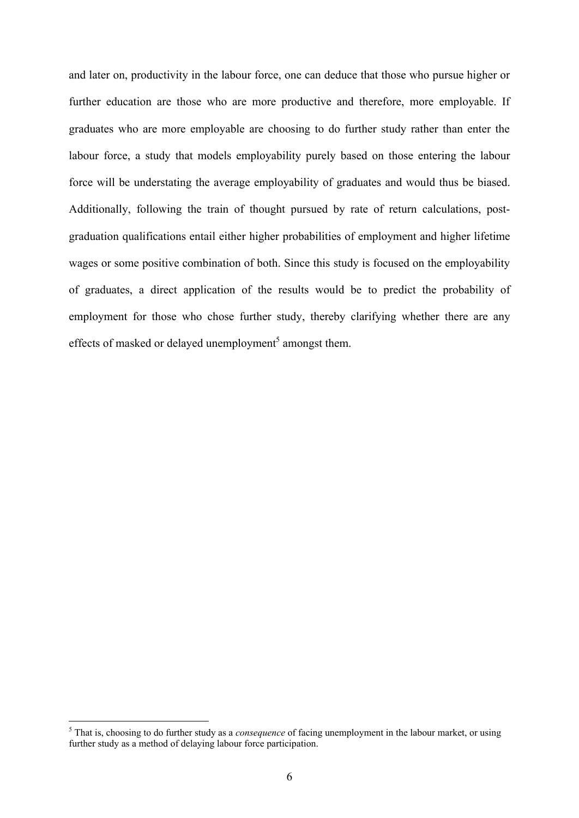and later on, productivity in the labour force, one can deduce that those who pursue higher or further education are those who are more productive and therefore, more employable. If graduates who are more employable are choosing to do further study rather than enter the labour force, a study that models employability purely based on those entering the labour force will be understating the average employability of graduates and would thus be biased. Additionally, following the train of thought pursued by rate of return calculations, postgraduation qualifications entail either higher probabilities of employment and higher lifetime wages or some positive combination of both. Since this study is focused on the employability of graduates, a direct application of the results would be to predict the probability of employment for those who chose further study, thereby clarifying whether there are any effects of masked or delayed unemployment<sup>5</sup> amongst them.

 5 That is, choosing to do further study as a *consequence* of facing unemployment in the labour market, or using further study as a method of delaying labour force participation.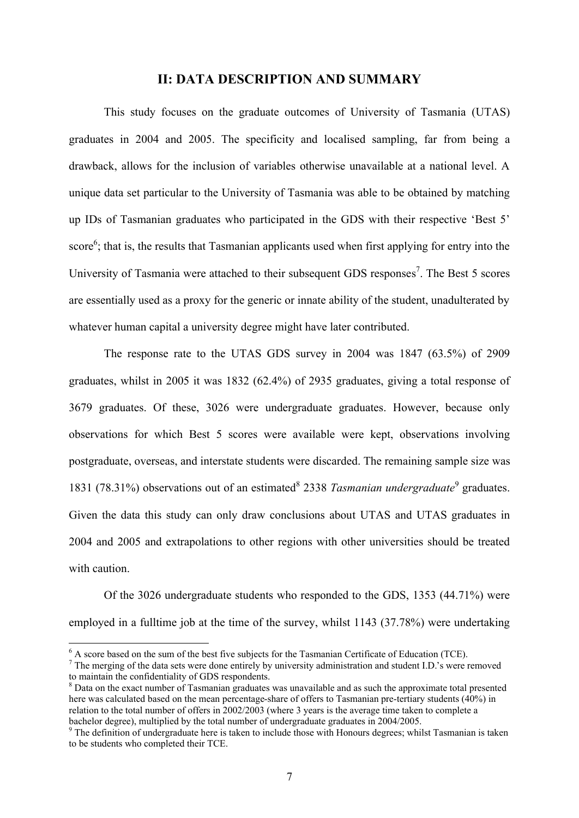## **II: DATA DESCRIPTION AND SUMMARY**

This study focuses on the graduate outcomes of University of Tasmania (UTAS) graduates in 2004 and 2005. The specificity and localised sampling, far from being a drawback, allows for the inclusion of variables otherwise unavailable at a national level. A unique data set particular to the University of Tasmania was able to be obtained by matching up IDs of Tasmanian graduates who participated in the GDS with their respective 'Best 5' score<sup>6</sup>; that is, the results that Tasmanian applicants used when first applying for entry into the University of Tasmania were attached to their subsequent GDS responses<sup>7</sup>. The Best 5 scores are essentially used as a proxy for the generic or innate ability of the student, unadulterated by whatever human capital a university degree might have later contributed.

The response rate to the UTAS GDS survey in 2004 was 1847 (63.5%) of 2909 graduates, whilst in 2005 it was 1832 (62.4%) of 2935 graduates, giving a total response of 3679 graduates. Of these, 3026 were undergraduate graduates. However, because only observations for which Best 5 scores were available were kept, observations involving postgraduate, overseas, and interstate students were discarded. The remaining sample size was 1831 (78.31%) observations out of an estimated<sup>8</sup> 2338 *Tasmanian undergraduate*<sup>9</sup> graduates. Given the data this study can only draw conclusions about UTAS and UTAS graduates in 2004 and 2005 and extrapolations to other regions with other universities should be treated with caution.

Of the 3026 undergraduate students who responded to the GDS, 1353 (44.71%) were employed in a fulltime job at the time of the survey, whilst 1143 (37.78%) were undertaking

<sup>&</sup>lt;sup>6</sup> A score based on the sum of the best five subjects for the Tasmanian Certificate of Education (TCE).

 $7$  The merging of the data sets were done entirely by university administration and student I.D.'s were removed to maintain the confidentiality of GDS respondents.

<sup>&</sup>lt;sup>8</sup> Data on the exact number of Tasmanian graduates was unavailable and as such the approximate total presented here was calculated based on the mean percentage-share of offers to Tasmanian pre-tertiary students (40%) in relation to the total number of offers in 2002/2003 (where 3 years is the average time taken to complete a bachelor degree), multiplied by the total number of undergraduate graduates in 2004/2005.

<sup>&</sup>lt;sup>9</sup> The definition of undergraduate here is taken to include those with Honours degrees; whilst Tasmanian is taken to be students who completed their TCE.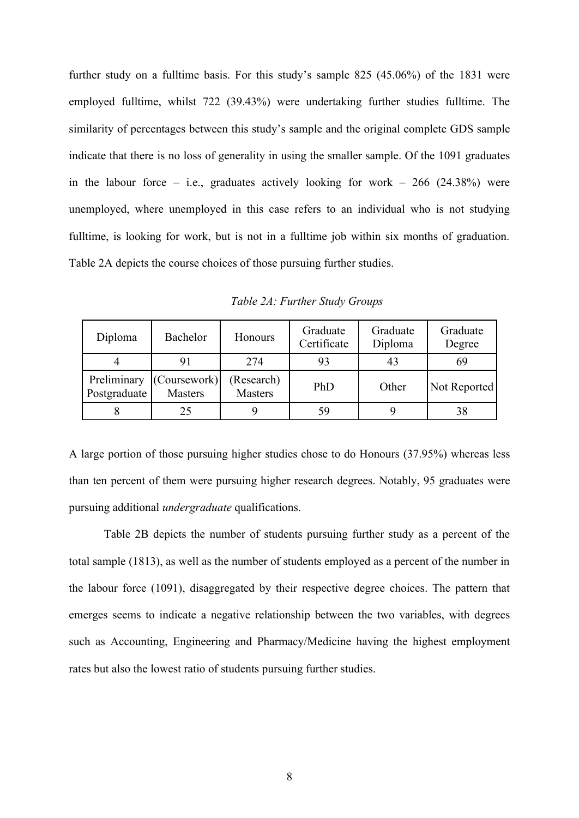further study on a fulltime basis. For this study's sample 825 (45.06%) of the 1831 were employed fulltime, whilst 722 (39.43%) were undertaking further studies fulltime. The similarity of percentages between this study's sample and the original complete GDS sample indicate that there is no loss of generality in using the smaller sample. Of the 1091 graduates in the labour force – i.e., graduates actively looking for work –  $266$  (24.38%) were unemployed, where unemployed in this case refers to an individual who is not studying fulltime, is looking for work, but is not in a fulltime job within six months of graduation. Table 2A depicts the course choices of those pursuing further studies.

| Diploma                     | Bachelor                       | Honours               | Graduate<br>Certificate | Graduate<br>Diploma | Graduate<br>Degree |
|-----------------------------|--------------------------------|-----------------------|-------------------------|---------------------|--------------------|
|                             | 91                             | 274                   | 93                      | 43                  | 69                 |
| Preliminary<br>Postgraduate | (Coursework)<br><b>Masters</b> | (Research)<br>Masters | PhD                     | Other               | Not Reported       |
|                             | 25                             |                       | 59                      |                     | 38                 |

*Table 2A: Further Study Groups*

A large portion of those pursuing higher studies chose to do Honours (37.95%) whereas less than ten percent of them were pursuing higher research degrees. Notably, 95 graduates were pursuing additional *undergraduate* qualifications.

Table 2B depicts the number of students pursuing further study as a percent of the total sample (1813), as well as the number of students employed as a percent of the number in the labour force (1091), disaggregated by their respective degree choices. The pattern that emerges seems to indicate a negative relationship between the two variables, with degrees such as Accounting, Engineering and Pharmacy/Medicine having the highest employment rates but also the lowest ratio of students pursuing further studies.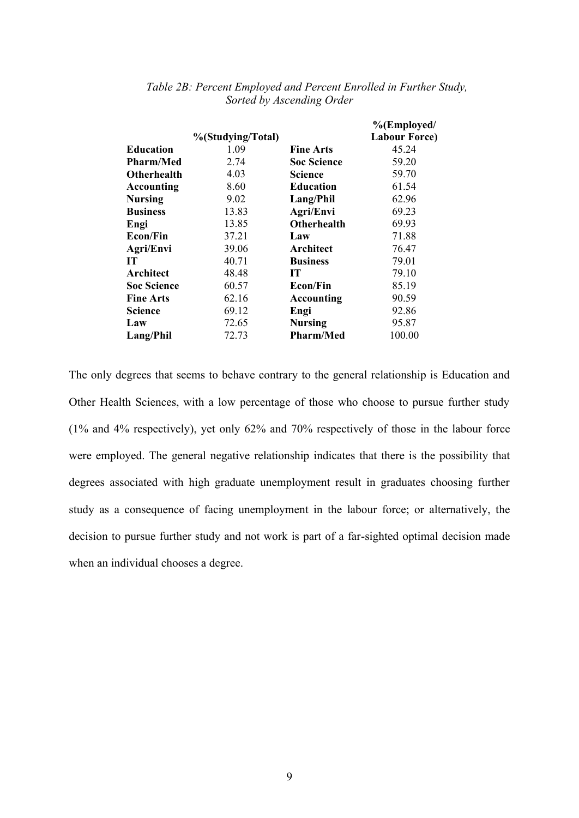|                    |                   |                    | %(Employed/          |
|--------------------|-------------------|--------------------|----------------------|
|                    | %(Studying/Total) |                    | <b>Labour Force)</b> |
| Education          | 1.09              | <b>Fine Arts</b>   | 45.24                |
| <b>Pharm/Med</b>   | 2.74              | <b>Soc Science</b> | 59.20                |
| Otherhealth        | 4.03              | <b>Science</b>     | 59.70                |
| <b>Accounting</b>  | 8.60              | <b>Education</b>   | 61.54                |
| Nursing            | 9.02              | Lang/Phil          | 62.96                |
| <b>Business</b>    | 13.83             | Agri/Envi          | 69.23                |
| Engi               | 13.85             | <b>Otherhealth</b> | 69.93                |
| Econ/Fin           | 37.21             | Law                | 71.88                |
| Agri/Envi          | 39.06             | Architect          | 76.47                |
| IT                 | 40.71             | <b>Business</b>    | 79.01                |
| Architect          | 48.48             | <b>IT</b>          | 79.10                |
| <b>Soc Science</b> | 60.57             | <b>Econ/Fin</b>    | 85.19                |
| <b>Fine Arts</b>   | 62.16             | <b>Accounting</b>  | 90.59                |
| Science            | 69.12             | Engi               | 92.86                |
| Law                | 72.65             | <b>Nursing</b>     | 95.87                |
| Lang/Phil          | 72.73             | <b>Pharm/Med</b>   | 100.00               |

## *Table 2B: Percent Employed and Percent Enrolled in Further Study, Sorted by Ascending Order*

The only degrees that seems to behave contrary to the general relationship is Education and Other Health Sciences, with a low percentage of those who choose to pursue further study (1% and 4% respectively), yet only 62% and 70% respectively of those in the labour force were employed. The general negative relationship indicates that there is the possibility that degrees associated with high graduate unemployment result in graduates choosing further study as a consequence of facing unemployment in the labour force; or alternatively, the decision to pursue further study and not work is part of a far-sighted optimal decision made when an individual chooses a degree.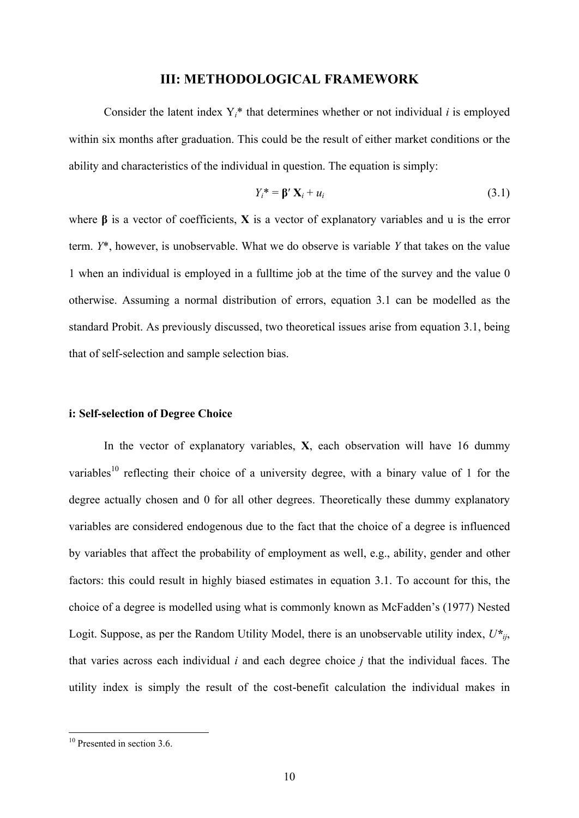## **III: METHODOLOGICAL FRAMEWORK**

Consider the latent index  $Y_i^*$  that determines whether or not individual *i* is employed within six months after graduation. This could be the result of either market conditions or the ability and characteristics of the individual in question. The equation is simply:

$$
Y_i^* = \mathbf{\beta}' \mathbf{X}_i + u_i \tag{3.1}
$$

where **β** is a vector of coefficients, **X** is a vector of explanatory variables and u is the error term. *Y*\*, however, is unobservable. What we do observe is variable *Y* that takes on the value 1 when an individual is employed in a fulltime job at the time of the survey and the value 0 otherwise. Assuming a normal distribution of errors, equation 3.1 can be modelled as the standard Probit. As previously discussed, two theoretical issues arise from equation 3.1, being that of self-selection and sample selection bias.

#### **i: Self-selection of Degree Choice**

In the vector of explanatory variables, **X**, each observation will have 16 dummy variables<sup>10</sup> reflecting their choice of a university degree, with a binary value of 1 for the degree actually chosen and 0 for all other degrees. Theoretically these dummy explanatory variables are considered endogenous due to the fact that the choice of a degree is influenced by variables that affect the probability of employment as well, e.g., ability, gender and other factors: this could result in highly biased estimates in equation 3.1. To account for this, the choice of a degree is modelled using what is commonly known as McFadden's (1977) Nested Logit. Suppose, as per the Random Utility Model, there is an unobservable utility index,  $U^*_{ij}$ , that varies across each individual *i* and each degree choice *j* that the individual faces. The utility index is simply the result of the cost-benefit calculation the individual makes in

<sup>&</sup>lt;sup>10</sup> Presented in section 3.6.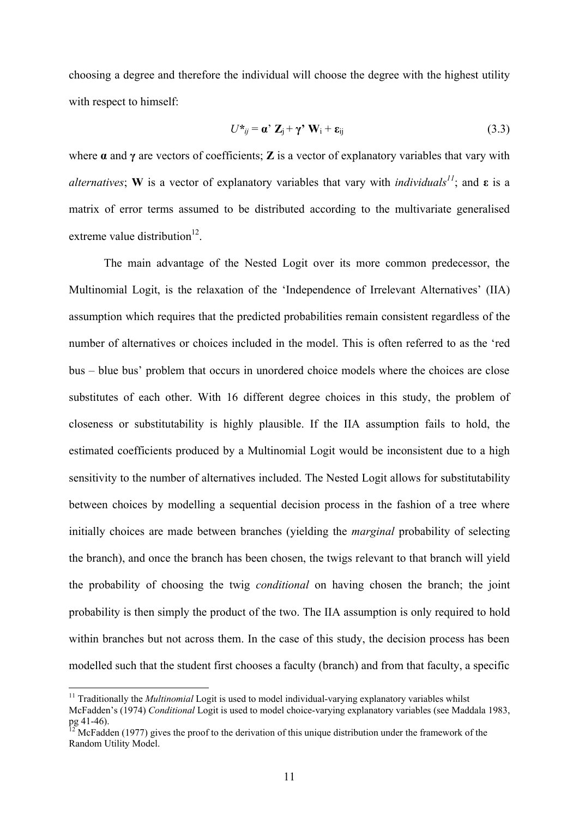choosing a degree and therefore the individual will choose the degree with the highest utility with respect to himself:

$$
U^*_{ij} = \mathbf{a}' \mathbf{Z}_j + \gamma' \mathbf{W}_i + \mathbf{\varepsilon}_{ij}
$$
 (3.3)

where  $\alpha$  and  $\gamma$  are vectors of coefficients; **Z** is a vector of explanatory variables that vary with *alternatives*; **W** is a vector of explanatory variables that vary with *individuals*<sup>11</sup>; and  $\varepsilon$  is a matrix of error terms assumed to be distributed according to the multivariate generalised extreme value distribution $^{12}$ .

The main advantage of the Nested Logit over its more common predecessor, the Multinomial Logit, is the relaxation of the 'Independence of Irrelevant Alternatives' (IIA) assumption which requires that the predicted probabilities remain consistent regardless of the number of alternatives or choices included in the model. This is often referred to as the 'red bus – blue bus' problem that occurs in unordered choice models where the choices are close substitutes of each other. With 16 different degree choices in this study, the problem of closeness or substitutability is highly plausible. If the IIA assumption fails to hold, the estimated coefficients produced by a Multinomial Logit would be inconsistent due to a high sensitivity to the number of alternatives included. The Nested Logit allows for substitutability between choices by modelling a sequential decision process in the fashion of a tree where initially choices are made between branches (yielding the *marginal* probability of selecting the branch), and once the branch has been chosen, the twigs relevant to that branch will yield the probability of choosing the twig *conditional* on having chosen the branch; the joint probability is then simply the product of the two. The IIA assumption is only required to hold within branches but not across them. In the case of this study, the decision process has been modelled such that the student first chooses a faculty (branch) and from that faculty, a specific

<sup>&</sup>lt;sup>11</sup> Traditionally the *Multinomial* Logit is used to model individual-varying explanatory variables whilst McFadden's (1974) *Conditional* Logit is used to model choice-varying explanatory variables (see Maddala 1983,  $pg$  41-46).

<sup>12</sup> McFadden (1977) gives the proof to the derivation of this unique distribution under the framework of the Random Utility Model.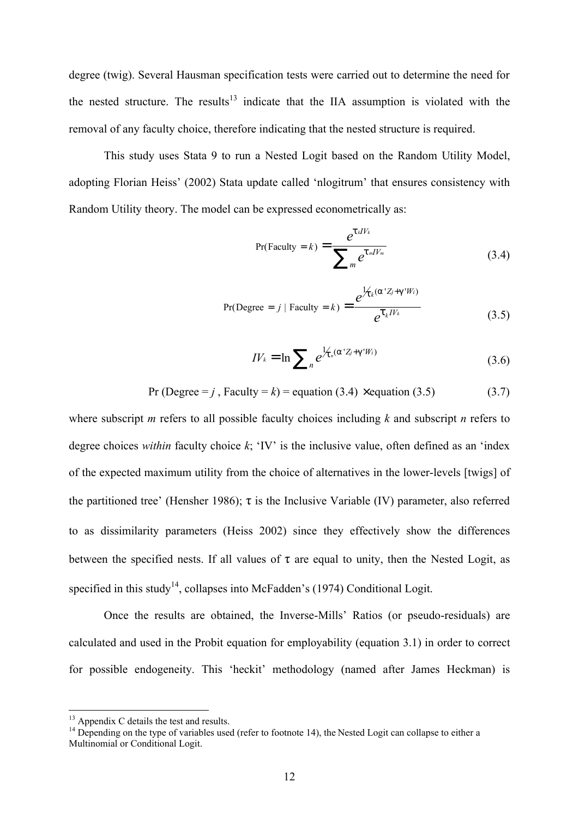degree (twig). Several Hausman specification tests were carried out to determine the need for the nested structure. The results $13$  indicate that the IIA assumption is violated with the removal of any faculty choice, therefore indicating that the nested structure is required.

This study uses Stata 9 to run a Nested Logit based on the Random Utility Model, adopting Florian Heiss' (2002) Stata update called 'nlogitrum' that ensures consistency with Random Utility theory. The model can be expressed econometrically as:

$$
Pr(Faculty = k) = \frac{e^{t_k I V_k}}{\sum_{m} e^{t_m I V_m}}
$$
(3.4)

$$
Pr(\text{Degree} = j \mid \text{ Faculty} = k) = \frac{e^{\frac{1}{\lambda_k} (a' Z_j + g' W_i)}}{e^{\frac{1}{\lambda_k} IV_k}}
$$
(3.5)

$$
IV_{k} = \ln \sum_{n} e^{\frac{1}{\lambda_{n}(a'Z_{j} + g'W_{i})}}
$$
(3.6)

$$
Pr (Degree = j, Faculty = k) = equation (3.4) \times equation (3.5)
$$
 (3.7)

where subscript *m* refers to all possible faculty choices including *k* and subscript *n* refers to degree choices *within* faculty choice *k*; 'IV' is the inclusive value, often defined as an 'index of the expected maximum utility from the choice of alternatives in the lower-levels [twigs] of the partitioned tree' (Hensher 1986);  $\tau$  is the Inclusive Variable (IV) parameter, also referred to as dissimilarity parameters (Heiss 2002) since they effectively show the differences between the specified nests. If all values of  $\tau$  are equal to unity, then the Nested Logit, as specified in this study<sup>14</sup>, collapses into McFadden's (1974) Conditional Logit.

Once the results are obtained, the Inverse-Mills' Ratios (or pseudo-residuals) are calculated and used in the Probit equation for employability (equation 3.1) in order to correct for possible endogeneity. This 'heckit' methodology (named after James Heckman) is

<sup>&</sup>lt;sup>13</sup> Appendix C details the test and results.

 $14$  Depending on the type of variables used (refer to footnote 14), the Nested Logit can collapse to either a Multinomial or Conditional Logit.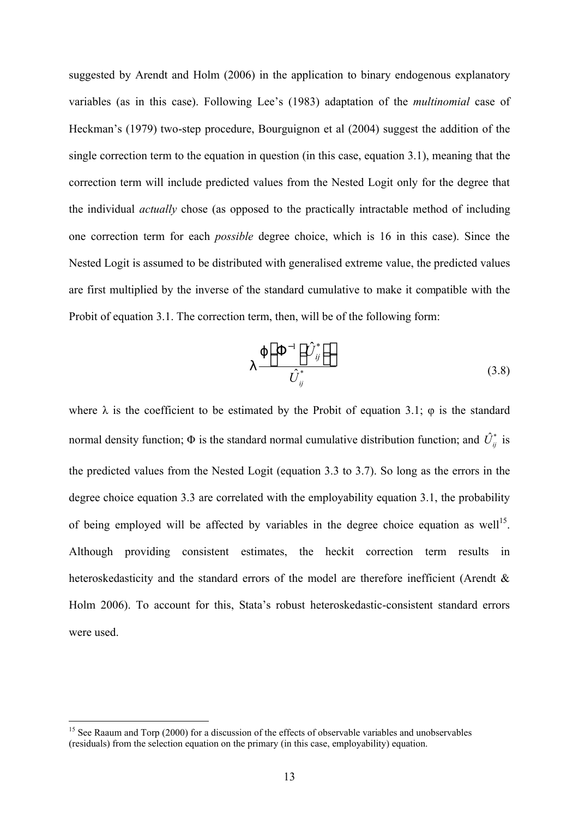suggested by Arendt and Holm (2006) in the application to binary endogenous explanatory variables (as in this case). Following Lee's (1983) adaptation of the *multinomial* case of Heckman's (1979) two-step procedure, Bourguignon et al (2004) suggest the addition of the single correction term to the equation in question (in this case, equation 3.1), meaning that the correction term will include predicted values from the Nested Logit only for the degree that the individual *actually* chose (as opposed to the practically intractable method of including one correction term for each *possible* degree choice, which is 16 in this case). Since the Nested Logit is assumed to be distributed with generalised extreme value, the predicted values are first multiplied by the inverse of the standard cumulative to make it compatible with the Probit of equation 3.1. The correction term, then, will be of the following form:

$$
\lambda \frac{\varphi[\Phi^{-1}[\hat{U}_{ij}^*]]}{\hat{U}_{ij}^*}
$$
\n(3.8)

where  $\lambda$  is the coefficient to be estimated by the Probit of equation 3.1;  $\varphi$  is the standard normal density function;  $\Phi$  is the standard normal cumulative distribution function; and  $\hat{U}^*_{ii}$  is the predicted values from the Nested Logit (equation 3.3 to 3.7). So long as the errors in the degree choice equation 3.3 are correlated with the employability equation 3.1, the probability of being employed will be affected by variables in the degree choice equation as well<sup>15</sup>. Although providing consistent estimates, the heckit correction term results in heteroskedasticity and the standard errors of the model are therefore inefficient (Arendt & Holm 2006). To account for this, Stata's robust heteroskedastic-consistent standard errors were used.

<sup>&</sup>lt;sup>15</sup> See Raaum and Torp (2000) for a discussion of the effects of observable variables and unobservables (residuals) from the selection equation on the primary (in this case, employability) equation.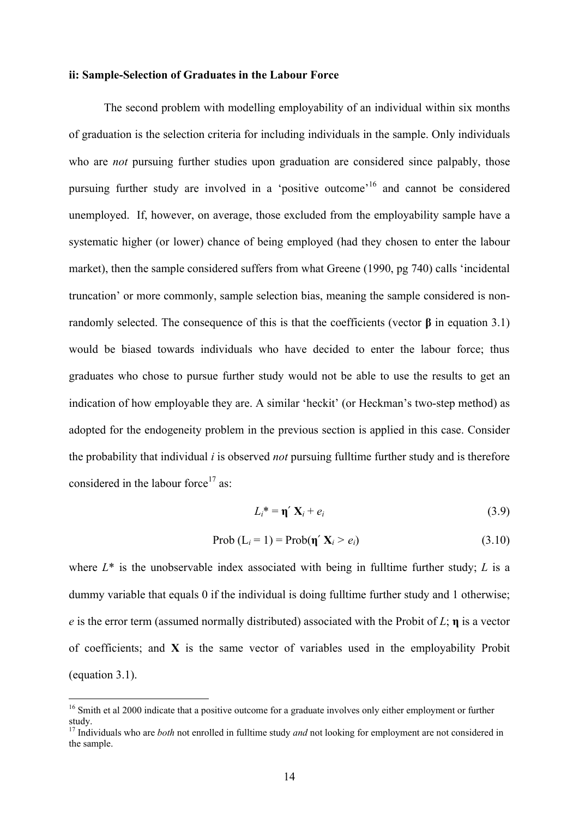## **ii: Sample-Selection of Graduates in the Labour Force**

The second problem with modelling employability of an individual within six months of graduation is the selection criteria for including individuals in the sample. Only individuals who are *not* pursuing further studies upon graduation are considered since palpably, those pursuing further study are involved in a 'positive outcome'<sup>16</sup> and cannot be considered unemployed. If, however, on average, those excluded from the employability sample have a systematic higher (or lower) chance of being employed (had they chosen to enter the labour market), then the sample considered suffers from what Greene (1990, pg 740) calls 'incidental truncation' or more commonly, sample selection bias, meaning the sample considered is nonrandomly selected. The consequence of this is that the coefficients (vector **β** in equation 3.1) would be biased towards individuals who have decided to enter the labour force; thus graduates who chose to pursue further study would not be able to use the results to get an indication of how employable they are. A similar 'heckit' (or Heckman's two-step method) as adopted for the endogeneity problem in the previous section is applied in this case. Consider the probability that individual *i* is observed *not* pursuing fulltime further study and is therefore considered in the labour force<sup>17</sup> as:

$$
L_i^* = \eta \mathfrak{C} X_i + e_i \tag{3.9}
$$

$$
\text{Prob}\left(L_{i} = 1\right) = \text{Prob}(\eta \in \mathbf{X}_{i} > e_{i})\tag{3.10}
$$

where  $L^*$  is the unobservable index associated with being in fulltime further study;  $L$  is a dummy variable that equals 0 if the individual is doing fulltime further study and 1 otherwise; *e* is the error term (assumed normally distributed) associated with the Probit of *L*; **η** is a vector of coefficients; and **X** is the same vector of variables used in the employability Probit (equation 3.1).

<sup>&</sup>lt;sup>16</sup> Smith et al 2000 indicate that a positive outcome for a graduate involves only either employment or further study.

<sup>17</sup> Individuals who are *both* not enrolled in fulltime study *and* not looking for employment are not considered in the sample.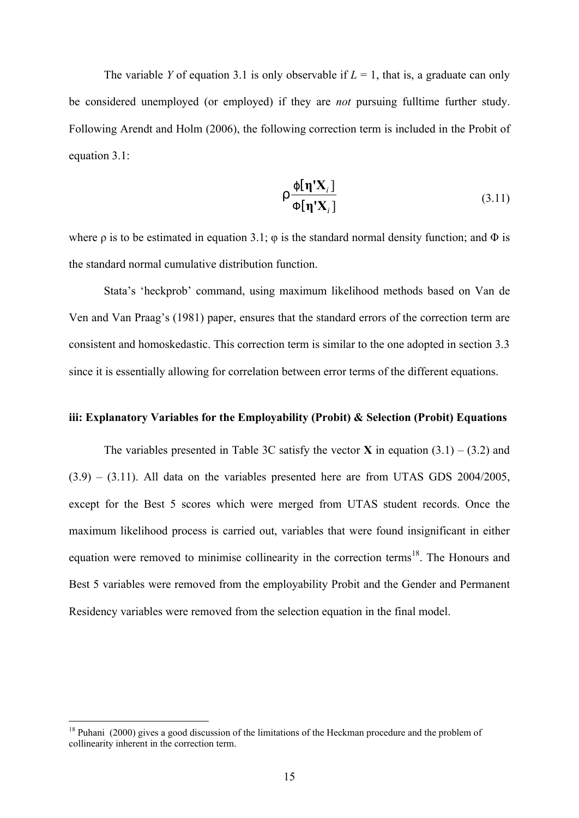The variable *Y* of equation 3.1 is only observable if  $L = 1$ , that is, a graduate can only be considered unemployed (or employed) if they are *not* pursuing fulltime further study. Following Arendt and Holm (2006), the following correction term is included in the Probit of equation 3.1:

$$
\rho \frac{\varphi[\eta' \mathbf{X}_i]}{\varphi[\eta' \mathbf{X}_i]}
$$
 (3.11)

where  $\rho$  is to be estimated in equation 3.1;  $\varphi$  is the standard normal density function; and  $\Phi$  is the standard normal cumulative distribution function.

Stata's 'heckprob' command, using maximum likelihood methods based on Van de Ven and Van Praag's (1981) paper, ensures that the standard errors of the correction term are consistent and homoskedastic. This correction term is similar to the one adopted in section 3.3 since it is essentially allowing for correlation between error terms of the different equations.

### **iii: Explanatory Variables for the Employability (Probit) & Selection (Probit) Equations**

The variables presented in Table 3C satisfy the vector **X** in equation  $(3.1) - (3.2)$  and  $(3.9) - (3.11)$ . All data on the variables presented here are from UTAS GDS 2004/2005, except for the Best 5 scores which were merged from UTAS student records. Once the maximum likelihood process is carried out, variables that were found insignificant in either equation were removed to minimise collinearity in the correction terms<sup>18</sup>. The Honours and Best 5 variables were removed from the employability Probit and the Gender and Permanent Residency variables were removed from the selection equation in the final model.

<sup>&</sup>lt;sup>18</sup> Puhani (2000) gives a good discussion of the limitations of the Heckman procedure and the problem of collinearity inherent in the correction term.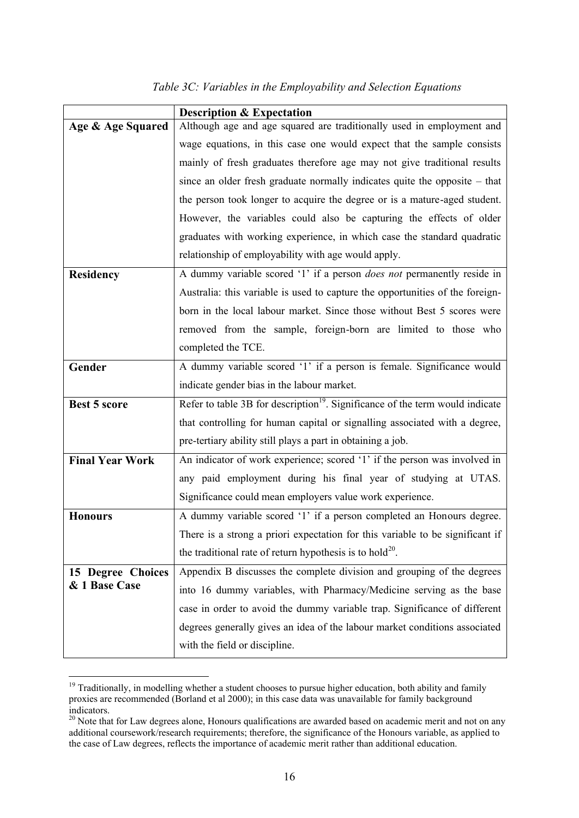# *Table 3C: Variables in the Employability and Selection Equations*

|                        | <b>Description &amp; Expectation</b>                                                      |  |  |  |
|------------------------|-------------------------------------------------------------------------------------------|--|--|--|
| Age & Age Squared      | Although age and age squared are traditionally used in employment and                     |  |  |  |
|                        | wage equations, in this case one would expect that the sample consists                    |  |  |  |
|                        | mainly of fresh graduates therefore age may not give traditional results                  |  |  |  |
|                        | since an older fresh graduate normally indicates quite the opposite $-$ that              |  |  |  |
|                        | the person took longer to acquire the degree or is a mature-aged student.                 |  |  |  |
|                        | However, the variables could also be capturing the effects of older                       |  |  |  |
|                        | graduates with working experience, in which case the standard quadratic                   |  |  |  |
|                        | relationship of employability with age would apply.                                       |  |  |  |
| <b>Residency</b>       | A dummy variable scored '1' if a person <i>does not</i> permanently reside in             |  |  |  |
|                        | Australia: this variable is used to capture the opportunities of the foreign-             |  |  |  |
|                        | born in the local labour market. Since those without Best 5 scores were                   |  |  |  |
|                        | removed from the sample, foreign-born are limited to those who                            |  |  |  |
|                        | completed the TCE.                                                                        |  |  |  |
| Gender                 | A dummy variable scored '1' if a person is female. Significance would                     |  |  |  |
|                        | indicate gender bias in the labour market.                                                |  |  |  |
| <b>Best 5 score</b>    | Refer to table 3B for description <sup>19</sup> . Significance of the term would indicate |  |  |  |
|                        | that controlling for human capital or signalling associated with a degree,                |  |  |  |
|                        | pre-tertiary ability still plays a part in obtaining a job.                               |  |  |  |
| <b>Final Year Work</b> | An indicator of work experience; scored '1' if the person was involved in                 |  |  |  |
|                        | any paid employment during his final year of studying at UTAS.                            |  |  |  |
|                        | Significance could mean employers value work experience.                                  |  |  |  |
| <b>Honours</b>         | A dummy variable scored '1' if a person completed an Honours degree.                      |  |  |  |
|                        | There is a strong a priori expectation for this variable to be significant if             |  |  |  |
|                        | the traditional rate of return hypothesis is to hold <sup>20</sup> .                      |  |  |  |
| 15 Degree Choices      | Appendix B discusses the complete division and grouping of the degrees                    |  |  |  |
| & 1 Base Case          | into 16 dummy variables, with Pharmacy/Medicine serving as the base                       |  |  |  |
|                        | case in order to avoid the dummy variable trap. Significance of different                 |  |  |  |
|                        | degrees generally gives an idea of the labour market conditions associated                |  |  |  |
|                        | with the field or discipline.                                                             |  |  |  |

<sup>&</sup>lt;sup>19</sup> Traditionally, in modelling whether a student chooses to pursue higher education, both ability and family proxies are recommended (Borland et al 2000); in this case data was unavailable for family background indicators.

<sup>&</sup>lt;sup>20</sup> Note that for Law degrees alone, Honours qualifications are awarded based on academic merit and not on any additional coursework/research requirements; therefore, the significance of the Honours variable, as applied to the case of Law degrees, reflects the importance of academic merit rather than additional education.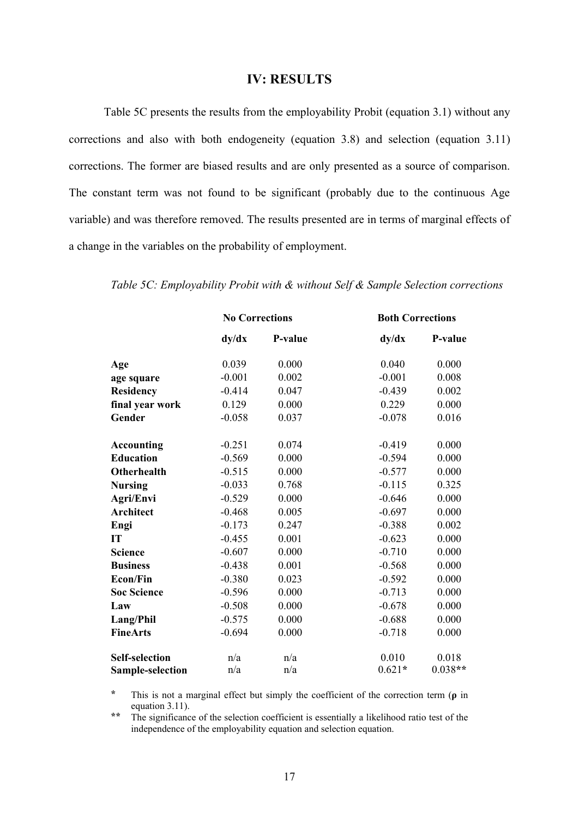## **IV: RESULTS**

Table 5C presents the results from the employability Probit (equation 3.1) without any corrections and also with both endogeneity (equation 3.8) and selection (equation 3.11) corrections. The former are biased results and are only presented as a source of comparison. The constant term was not found to be significant (probably due to the continuous Age variable) and was therefore removed. The results presented are in terms of marginal effects of a change in the variables on the probability of employment.

|                         | <b>No Corrections</b> |         | <b>Both Corrections</b> |           |  |
|-------------------------|-----------------------|---------|-------------------------|-----------|--|
|                         | dy/dx                 | P-value | dy/dx                   | P-value   |  |
| Age                     | 0.039                 | 0.000   | 0.040                   | 0.000     |  |
| age square              | $-0.001$              | 0.002   | $-0.001$                | 0.008     |  |
| <b>Residency</b>        | $-0.414$              | 0.047   | $-0.439$                | 0.002     |  |
| final year work         | 0.129                 | 0.000   | 0.229                   | 0.000     |  |
| Gender                  | $-0.058$              | 0.037   | $-0.078$                | 0.016     |  |
| <b>Accounting</b>       | $-0.251$              | 0.074   | $-0.419$                | 0.000     |  |
| <b>Education</b>        | $-0.569$              | 0.000   | $-0.594$                | 0.000     |  |
| <b>Otherhealth</b>      | $-0.515$              | 0.000   | $-0.577$                | 0.000     |  |
| <b>Nursing</b>          | $-0.033$              | 0.768   | $-0.115$                | 0.325     |  |
| Agri/Envi               | $-0.529$              | 0.000   | $-0.646$                | 0.000     |  |
| <b>Architect</b>        | $-0.468$              | 0.005   | $-0.697$                | 0.000     |  |
| Engi                    | $-0.173$              | 0.247   | $-0.388$                | 0.002     |  |
| IT                      | $-0.455$              | 0.001   | $-0.623$                | 0.000     |  |
| <b>Science</b>          | $-0.607$              | 0.000   | $-0.710$                | 0.000     |  |
| <b>Business</b>         | $-0.438$              | 0.001   | $-0.568$                | 0.000     |  |
| <b>Econ/Fin</b>         | $-0.380$              | 0.023   | $-0.592$                | 0.000     |  |
| <b>Soc Science</b>      | $-0.596$              | 0.000   | $-0.713$                | 0.000     |  |
| Law                     | $-0.508$              | 0.000   | $-0.678$                | 0.000     |  |
| Lang/Phil               | $-0.575$              | 0.000   | $-0.688$                | 0.000     |  |
| <b>FineArts</b>         | $-0.694$              | 0.000   | $-0.718$                | 0.000     |  |
| <b>Self-selection</b>   | n/a                   | n/a     | 0.010                   | 0.018     |  |
| <b>Sample-selection</b> | n/a                   | n/a     | $0.621*$                | $0.038**$ |  |

*Table 5C: Employability Probit with & without Self & Sample Selection corrections*

**\*** This is not a marginal effect but simply the coefficient of the correction term (**ρ** in equation 3.11).

\*\* The significance of the selection coefficient is essentially a likelihood ratio test of the independence of the employability equation and selection equation.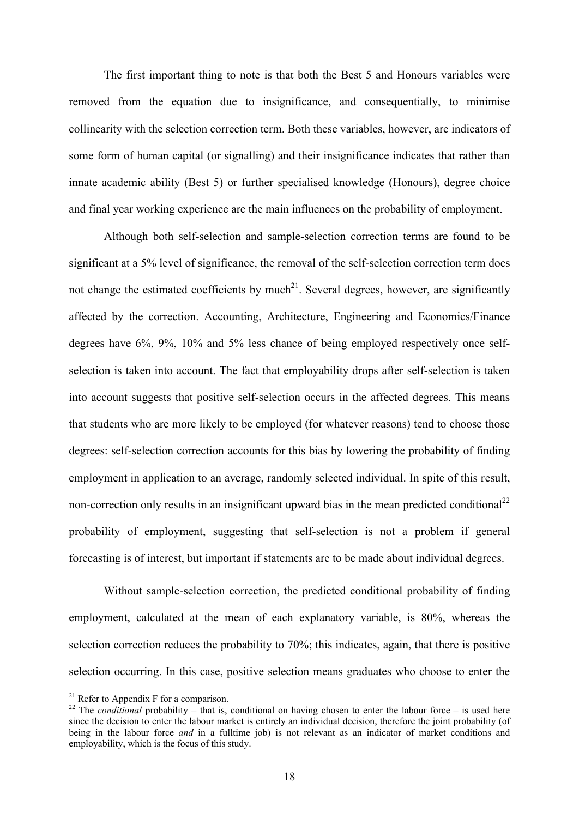The first important thing to note is that both the Best 5 and Honours variables were removed from the equation due to insignificance, and consequentially, to minimise collinearity with the selection correction term. Both these variables, however, are indicators of some form of human capital (or signalling) and their insignificance indicates that rather than innate academic ability (Best 5) or further specialised knowledge (Honours), degree choice and final year working experience are the main influences on the probability of employment.

Although both self-selection and sample-selection correction terms are found to be significant at a 5% level of significance, the removal of the self-selection correction term does not change the estimated coefficients by much<sup>21</sup>. Several degrees, however, are significantly affected by the correction. Accounting, Architecture, Engineering and Economics/Finance degrees have 6%, 9%, 10% and 5% less chance of being employed respectively once selfselection is taken into account. The fact that employability drops after self-selection is taken into account suggests that positive self-selection occurs in the affected degrees. This means that students who are more likely to be employed (for whatever reasons) tend to choose those degrees: self-selection correction accounts for this bias by lowering the probability of finding employment in application to an average, randomly selected individual. In spite of this result, non-correction only results in an insignificant upward bias in the mean predicted conditional<sup>22</sup> probability of employment, suggesting that self-selection is not a problem if general forecasting is of interest, but important if statements are to be made about individual degrees.

Without sample-selection correction, the predicted conditional probability of finding employment, calculated at the mean of each explanatory variable, is 80%, whereas the selection correction reduces the probability to 70%; this indicates, again, that there is positive selection occurring. In this case, positive selection means graduates who choose to enter the

 $21$  Refer to Appendix F for a comparison.

<sup>&</sup>lt;sup>22</sup> The *conditional* probability – that is, conditional on having chosen to enter the labour force – is used here since the decision to enter the labour market is entirely an individual decision, therefore the joint probability (of being in the labour force *and* in a fulltime job) is not relevant as an indicator of market conditions and employability, which is the focus of this study.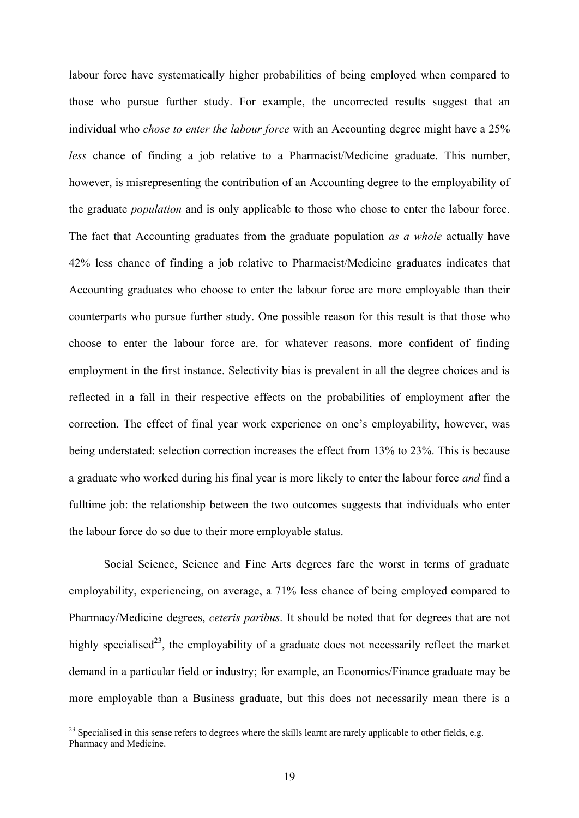labour force have systematically higher probabilities of being employed when compared to those who pursue further study. For example, the uncorrected results suggest that an individual who *chose to enter the labour force* with an Accounting degree might have a 25% *less* chance of finding a job relative to a Pharmacist/Medicine graduate. This number, however, is misrepresenting the contribution of an Accounting degree to the employability of the graduate *population* and is only applicable to those who chose to enter the labour force. The fact that Accounting graduates from the graduate population *as a whole* actually have 42% less chance of finding a job relative to Pharmacist/Medicine graduates indicates that Accounting graduates who choose to enter the labour force are more employable than their counterparts who pursue further study. One possible reason for this result is that those who choose to enter the labour force are, for whatever reasons, more confident of finding employment in the first instance. Selectivity bias is prevalent in all the degree choices and is reflected in a fall in their respective effects on the probabilities of employment after the correction. The effect of final year work experience on one's employability, however, was being understated: selection correction increases the effect from 13% to 23%. This is because a graduate who worked during his final year is more likely to enter the labour force *and* find a fulltime job: the relationship between the two outcomes suggests that individuals who enter the labour force do so due to their more employable status.

Social Science, Science and Fine Arts degrees fare the worst in terms of graduate employability, experiencing, on average, a 71% less chance of being employed compared to Pharmacy/Medicine degrees, *ceteris paribus*. It should be noted that for degrees that are not highly specialised<sup>23</sup>, the employability of a graduate does not necessarily reflect the market demand in a particular field or industry; for example, an Economics/Finance graduate may be more employable than a Business graduate, but this does not necessarily mean there is a

 $^{23}$  Specialised in this sense refers to degrees where the skills learnt are rarely applicable to other fields, e.g. Pharmacy and Medicine.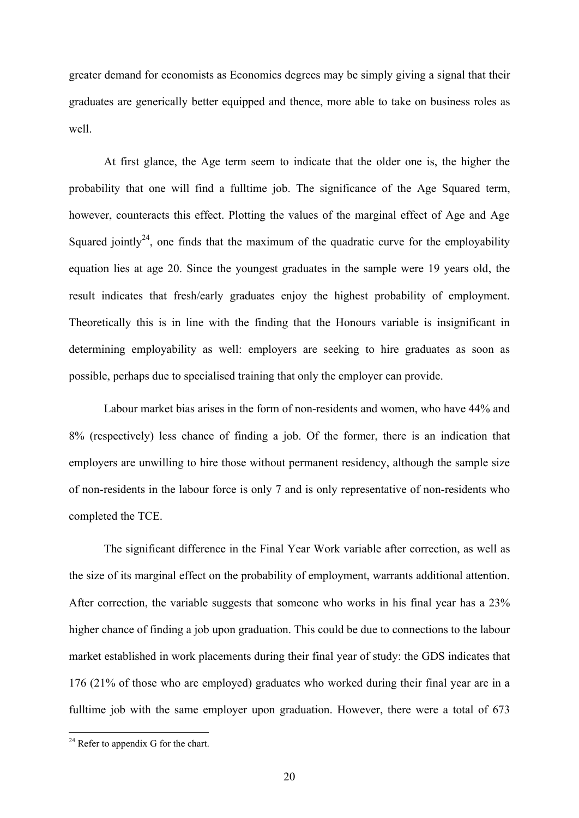greater demand for economists as Economics degrees may be simply giving a signal that their graduates are generically better equipped and thence, more able to take on business roles as well.

At first glance, the Age term seem to indicate that the older one is, the higher the probability that one will find a fulltime job. The significance of the Age Squared term, however, counteracts this effect. Plotting the values of the marginal effect of Age and Age Squared jointly<sup>24</sup>, one finds that the maximum of the quadratic curve for the employability equation lies at age 20. Since the youngest graduates in the sample were 19 years old, the result indicates that fresh/early graduates enjoy the highest probability of employment. Theoretically this is in line with the finding that the Honours variable is insignificant in determining employability as well: employers are seeking to hire graduates as soon as possible, perhaps due to specialised training that only the employer can provide.

Labour market bias arises in the form of non-residents and women, who have 44% and 8% (respectively) less chance of finding a job. Of the former, there is an indication that employers are unwilling to hire those without permanent residency, although the sample size of non-residents in the labour force is only 7 and is only representative of non-residents who completed the TCE.

The significant difference in the Final Year Work variable after correction, as well as the size of its marginal effect on the probability of employment, warrants additional attention. After correction, the variable suggests that someone who works in his final year has a 23% higher chance of finding a job upon graduation. This could be due to connections to the labour market established in work placements during their final year of study: the GDS indicates that 176 (21% of those who are employed) graduates who worked during their final year are in a fulltime job with the same employer upon graduation. However, there were a total of 673

 $24$  Refer to appendix G for the chart.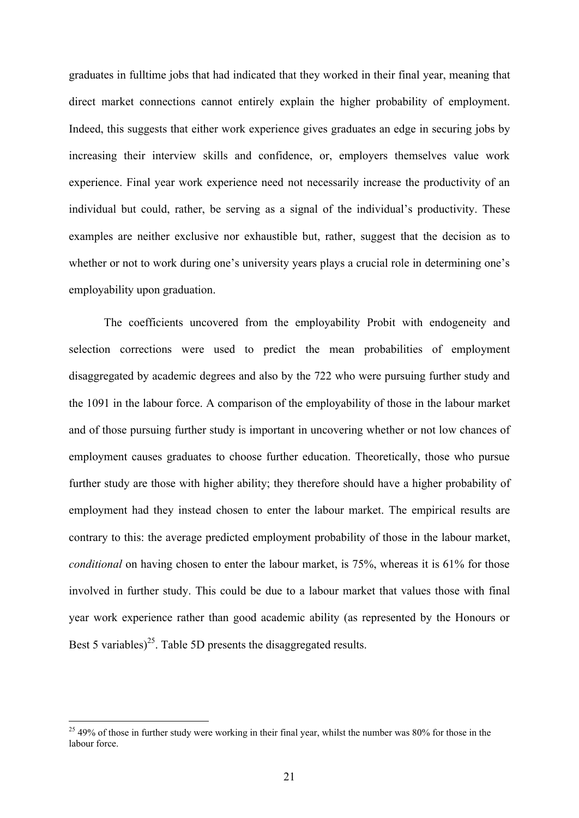graduates in fulltime jobs that had indicated that they worked in their final year, meaning that direct market connections cannot entirely explain the higher probability of employment. Indeed, this suggests that either work experience gives graduates an edge in securing jobs by increasing their interview skills and confidence, or, employers themselves value work experience. Final year work experience need not necessarily increase the productivity of an individual but could, rather, be serving as a signal of the individual's productivity. These examples are neither exclusive nor exhaustible but, rather, suggest that the decision as to whether or not to work during one's university years plays a crucial role in determining one's employability upon graduation.

The coefficients uncovered from the employability Probit with endogeneity and selection corrections were used to predict the mean probabilities of employment disaggregated by academic degrees and also by the 722 who were pursuing further study and the 1091 in the labour force. A comparison of the employability of those in the labour market and of those pursuing further study is important in uncovering whether or not low chances of employment causes graduates to choose further education. Theoretically, those who pursue further study are those with higher ability; they therefore should have a higher probability of employment had they instead chosen to enter the labour market. The empirical results are contrary to this: the average predicted employment probability of those in the labour market, *conditional* on having chosen to enter the labour market, is 75%, whereas it is 61% for those involved in further study. This could be due to a labour market that values those with final year work experience rather than good academic ability (as represented by the Honours or Best 5 variables)<sup>25</sup>. Table 5D presents the disaggregated results.

<sup>&</sup>lt;sup>25</sup> 49% of those in further study were working in their final year, whilst the number was 80% for those in the labour force.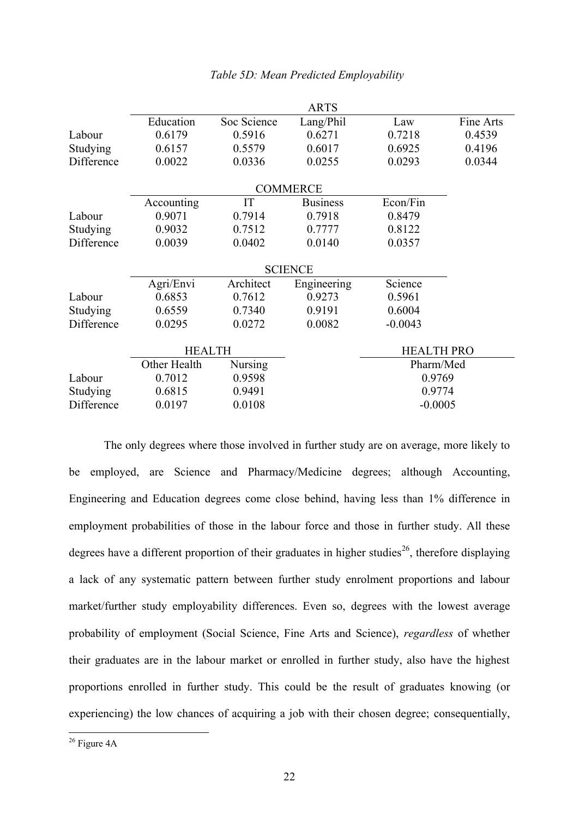|                | <b>ARTS</b>   |                |                 |                   |           |  |
|----------------|---------------|----------------|-----------------|-------------------|-----------|--|
|                | Education     | Soc Science    | Lang/Phil       | Law               | Fine Arts |  |
| Labour         | 0.6179        | 0.5916         | 0.6271          | 0.7218            | 0.4539    |  |
| Studying       | 0.6157        | 0.5579         | 0.6017          | 0.6925            | 0.4196    |  |
| Difference     | 0.0022        | 0.0336         | 0.0255          | 0.0293            | 0.0344    |  |
|                |               |                |                 |                   |           |  |
|                |               |                | <b>COMMERCE</b> |                   |           |  |
|                | Accounting    | IT             | <b>Business</b> | Econ/Fin          |           |  |
| Labour         | 0.9071        | 0.7914         | 0.7918          | 0.8479            |           |  |
| Studying       | 0.9032        | 0.7512         | 0.7777          | 0.8122            |           |  |
| Difference     | 0.0039        | 0.0402         | 0.0140          | 0.0357            |           |  |
| <b>SCIENCE</b> |               |                |                 |                   |           |  |
|                |               |                |                 | Science           |           |  |
|                | Agri/Envi     | Architect      | Engineering     |                   |           |  |
| Labour         | 0.6853        | 0.7612         | 0.9273          | 0.5961            |           |  |
| Studying       | 0.6559        | 0.7340         | 0.9191          | 0.6004            |           |  |
| Difference     | 0.0295        | 0.0272         | 0.0082          | $-0.0043$         |           |  |
|                | <b>HEALTH</b> |                |                 | <b>HEALTH PRO</b> |           |  |
|                | Other Health  | <b>Nursing</b> |                 |                   | Pharm/Med |  |
| Labour         | 0.7012        | 0.9598         |                 | 0.9769            |           |  |
| Studying       | 0.6815        | 0.9491         | 0.9774          |                   |           |  |
| Difference     | 0.0197        | 0.0108         | $-0.0005$       |                   |           |  |
|                |               |                |                 |                   |           |  |

## *Table 5D: Mean Predicted Employability*

The only degrees where those involved in further study are on average, more likely to be employed, are Science and Pharmacy/Medicine degrees; although Accounting, Engineering and Education degrees come close behind, having less than 1% difference in employment probabilities of those in the labour force and those in further study. All these degrees have a different proportion of their graduates in higher studies<sup>26</sup>, therefore displaying a lack of any systematic pattern between further study enrolment proportions and labour market/further study employability differences. Even so, degrees with the lowest average probability of employment (Social Science, Fine Arts and Science), *regardless* of whether their graduates are in the labour market or enrolled in further study, also have the highest proportions enrolled in further study. This could be the result of graduates knowing (or experiencing) the low chances of acquiring a job with their chosen degree; consequentially,

 $\overline{a}$  $26$  Figure 4A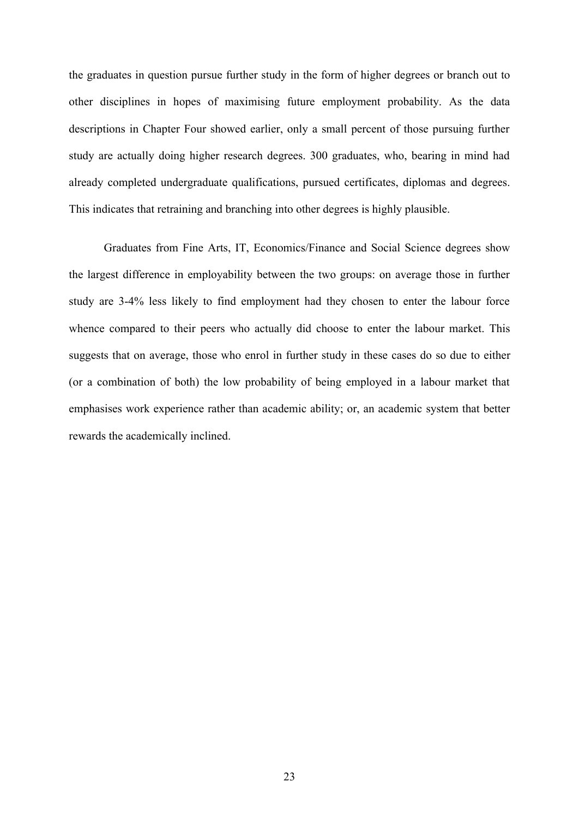the graduates in question pursue further study in the form of higher degrees or branch out to other disciplines in hopes of maximising future employment probability. As the data descriptions in Chapter Four showed earlier, only a small percent of those pursuing further study are actually doing higher research degrees. 300 graduates, who, bearing in mind had already completed undergraduate qualifications, pursued certificates, diplomas and degrees. This indicates that retraining and branching into other degrees is highly plausible.

Graduates from Fine Arts, IT, Economics/Finance and Social Science degrees show the largest difference in employability between the two groups: on average those in further study are 3-4% less likely to find employment had they chosen to enter the labour force whence compared to their peers who actually did choose to enter the labour market. This suggests that on average, those who enrol in further study in these cases do so due to either (or a combination of both) the low probability of being employed in a labour market that emphasises work experience rather than academic ability; or, an academic system that better rewards the academically inclined.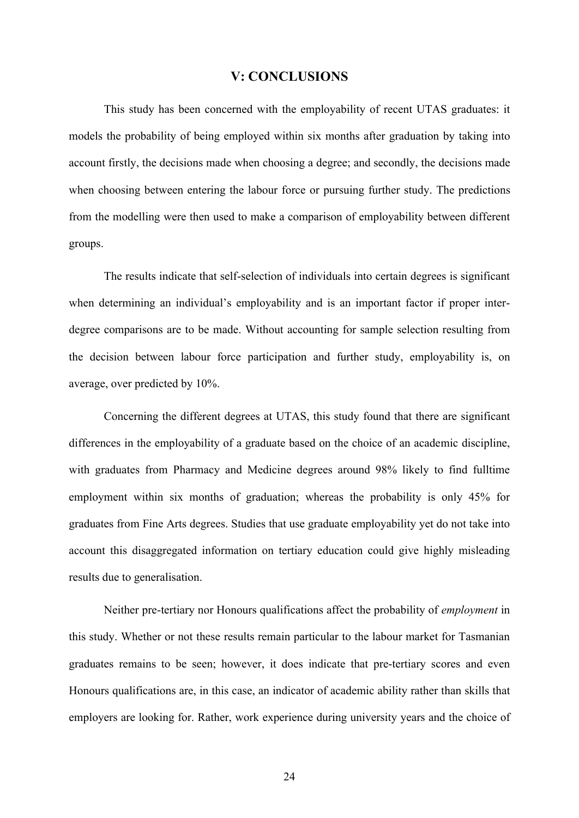## **V: CONCLUSIONS**

This study has been concerned with the employability of recent UTAS graduates: it models the probability of being employed within six months after graduation by taking into account firstly, the decisions made when choosing a degree; and secondly, the decisions made when choosing between entering the labour force or pursuing further study. The predictions from the modelling were then used to make a comparison of employability between different groups.

The results indicate that self-selection of individuals into certain degrees is significant when determining an individual's employability and is an important factor if proper interdegree comparisons are to be made. Without accounting for sample selection resulting from the decision between labour force participation and further study, employability is, on average, over predicted by 10%.

Concerning the different degrees at UTAS, this study found that there are significant differences in the employability of a graduate based on the choice of an academic discipline, with graduates from Pharmacy and Medicine degrees around 98% likely to find fulltime employment within six months of graduation; whereas the probability is only 45% for graduates from Fine Arts degrees. Studies that use graduate employability yet do not take into account this disaggregated information on tertiary education could give highly misleading results due to generalisation.

Neither pre-tertiary nor Honours qualifications affect the probability of *employment* in this study. Whether or not these results remain particular to the labour market for Tasmanian graduates remains to be seen; however, it does indicate that pre-tertiary scores and even Honours qualifications are, in this case, an indicator of academic ability rather than skills that employers are looking for. Rather, work experience during university years and the choice of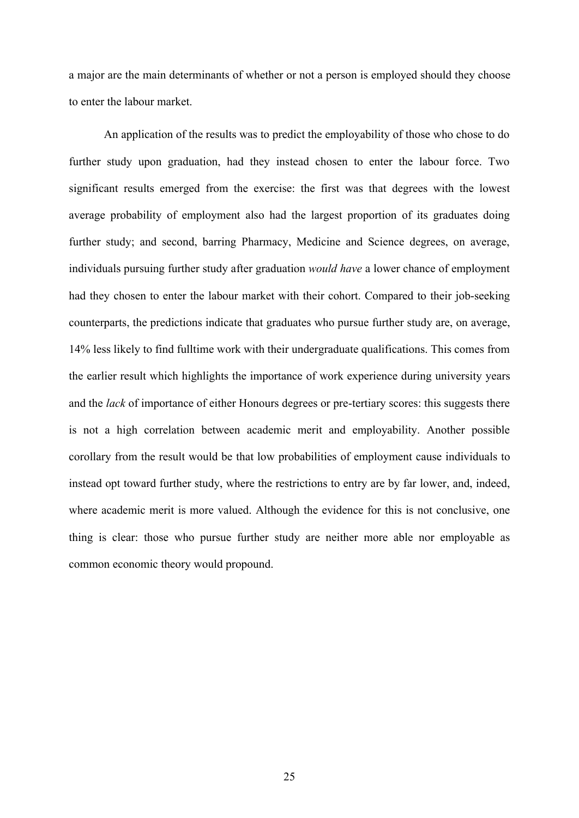a major are the main determinants of whether or not a person is employed should they choose to enter the labour market.

An application of the results was to predict the employability of those who chose to do further study upon graduation, had they instead chosen to enter the labour force. Two significant results emerged from the exercise: the first was that degrees with the lowest average probability of employment also had the largest proportion of its graduates doing further study; and second, barring Pharmacy, Medicine and Science degrees, on average, individuals pursuing further study after graduation *would have* a lower chance of employment had they chosen to enter the labour market with their cohort. Compared to their job-seeking counterparts, the predictions indicate that graduates who pursue further study are, on average, 14% less likely to find fulltime work with their undergraduate qualifications. This comes from the earlier result which highlights the importance of work experience during university years and the *lack* of importance of either Honours degrees or pre-tertiary scores: this suggests there is not a high correlation between academic merit and employability. Another possible corollary from the result would be that low probabilities of employment cause individuals to instead opt toward further study, where the restrictions to entry are by far lower, and, indeed, where academic merit is more valued. Although the evidence for this is not conclusive, one thing is clear: those who pursue further study are neither more able nor employable as common economic theory would propound.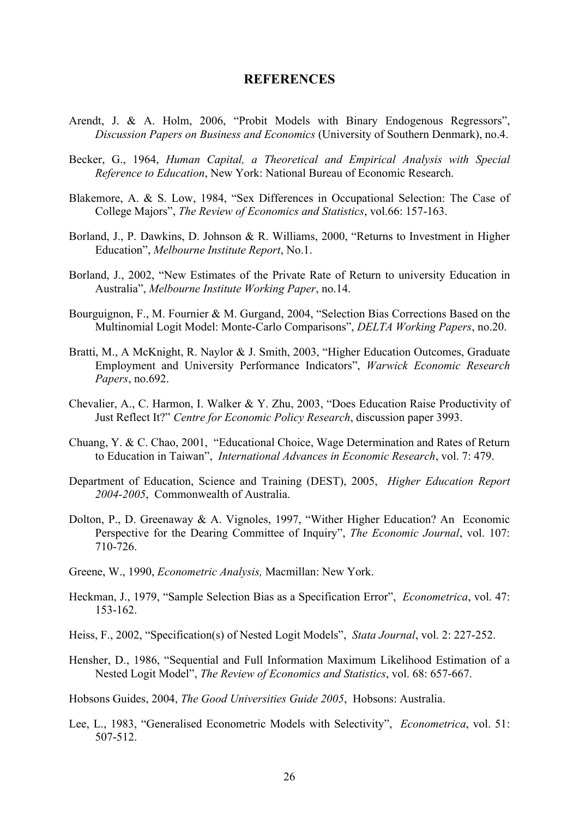## **REFERENCES**

- Arendt, J. & A. Holm, 2006, "Probit Models with Binary Endogenous Regressors", *Discussion Papers on Business and Economics* (University of Southern Denmark), no.4.
- Becker, G., 1964, *Human Capital, a Theoretical and Empirical Analysis with Special Reference to Education*, New York: National Bureau of Economic Research.
- Blakemore, A. & S. Low, 1984, "Sex Differences in Occupational Selection: The Case of College Majors", *The Review of Economics and Statistics*, vol.66: 157-163.
- Borland, J., P. Dawkins, D. Johnson & R. Williams, 2000, "Returns to Investment in Higher Education", *Melbourne Institute Report*, No.1.
- Borland, J., 2002, "New Estimates of the Private Rate of Return to university Education in Australia", *Melbourne Institute Working Paper*, no.14.
- Bourguignon, F., M. Fournier & M. Gurgand, 2004, "Selection Bias Corrections Based on the Multinomial Logit Model: Monte-Carlo Comparisons", *DELTA Working Papers*, no.20.
- Bratti, M., A McKnight, R. Naylor & J. Smith, 2003, "Higher Education Outcomes, Graduate Employment and University Performance Indicators", *Warwick Economic Research Papers*, no.692.
- Chevalier, A., C. Harmon, I. Walker & Y. Zhu, 2003, "Does Education Raise Productivity of Just Reflect It?" *Centre for Economic Policy Research*, discussion paper 3993.
- Chuang, Y. & C. Chao, 2001, "Educational Choice, Wage Determination and Rates of Return to Education in Taiwan", *International Advances in Economic Research*, vol. 7: 479.
- Department of Education, Science and Training (DEST), 2005, *Higher Education Report 2004-2005*, Commonwealth of Australia.
- Dolton, P., D. Greenaway & A. Vignoles, 1997, "Wither Higher Education? An Economic Perspective for the Dearing Committee of Inquiry", *The Economic Journal*, vol. 107: 710-726.
- Greene, W., 1990, *Econometric Analysis,* Macmillan: New York.
- Heckman, J., 1979, "Sample Selection Bias as a Specification Error", *Econometrica*, vol. 47: 153-162.
- Heiss, F., 2002, "Specification(s) of Nested Logit Models", *Stata Journal*, vol. 2: 227-252.
- Hensher, D., 1986, "Sequential and Full Information Maximum Likelihood Estimation of a Nested Logit Model", *The Review of Economics and Statistics*, vol. 68: 657-667.

Hobsons Guides, 2004, *The Good Universities Guide 2005*, Hobsons: Australia.

Lee, L., 1983, "Generalised Econometric Models with Selectivity", *Econometrica*, vol. 51: 507-512.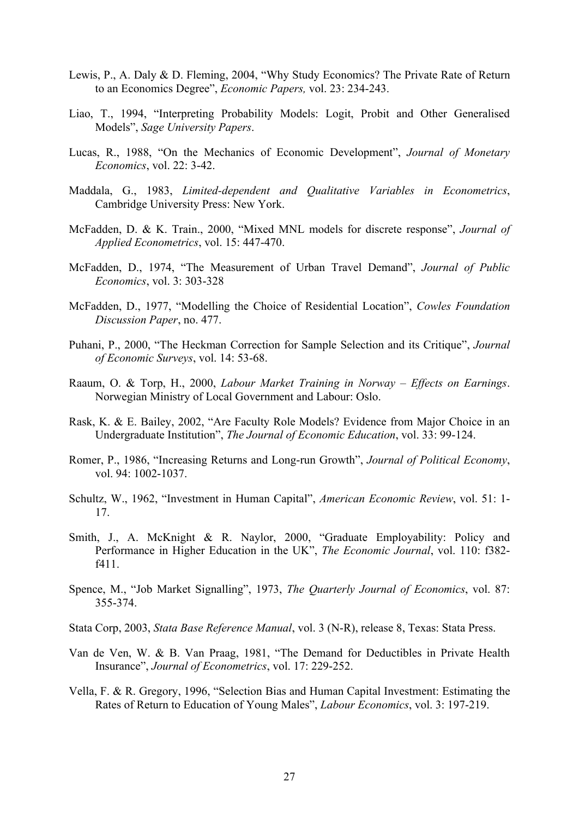- Lewis, P., A. Daly & D. Fleming, 2004, "Why Study Economics? The Private Rate of Return to an Economics Degree", *Economic Papers,* vol. 23: 234-243.
- Liao, T., 1994, "Interpreting Probability Models: Logit, Probit and Other Generalised Models", *Sage University Papers*.
- Lucas, R., 1988, "On the Mechanics of Economic Development", *Journal of Monetary Economics*, vol. 22: 3-42.
- Maddala, G., 1983, *Limited-dependent and Qualitative Variables in Econometrics*, Cambridge University Press: New York.
- McFadden, D. & K. Train., 2000, "Mixed MNL models for discrete response", *Journal of Applied Econometrics*, vol. 15: 447-470.
- McFadden, D., 1974, "The Measurement of Urban Travel Demand", *Journal of Public Economics*, vol. 3: 303-328
- McFadden, D., 1977, "Modelling the Choice of Residential Location", *Cowles Foundation Discussion Paper*, no. 477.
- Puhani, P., 2000, "The Heckman Correction for Sample Selection and its Critique", *Journal of Economic Surveys*, vol. 14: 53-68.
- Raaum, O. & Torp, H., 2000, *Labour Market Training in Norway Effects on Earnings*. Norwegian Ministry of Local Government and Labour: Oslo.
- Rask, K. & E. Bailey, 2002, "Are Faculty Role Models? Evidence from Major Choice in an Undergraduate Institution", *The Journal of Economic Education*, vol. 33: 99-124.
- Romer, P., 1986, "Increasing Returns and Long-run Growth", *Journal of Political Economy*, vol. 94: 1002-1037.
- Schultz, W., 1962, "Investment in Human Capital", *American Economic Review*, vol. 51: 1- 17.
- Smith, J., A. McKnight & R. Naylor, 2000, "Graduate Employability: Policy and Performance in Higher Education in the UK", *The Economic Journal*, vol. 110: f382 f411.
- Spence, M., "Job Market Signalling", 1973, *The Quarterly Journal of Economics*, vol. 87: 355-374.
- Stata Corp, 2003, *Stata Base Reference Manual*, vol. 3 (N-R), release 8, Texas: Stata Press.
- Van de Ven, W. & B. Van Praag, 1981, "The Demand for Deductibles in Private Health Insurance", *Journal of Econometrics*, vol. 17: 229-252.
- Vella, F. & R. Gregory, 1996, "Selection Bias and Human Capital Investment: Estimating the Rates of Return to Education of Young Males", *Labour Economics*, vol. 3: 197-219.